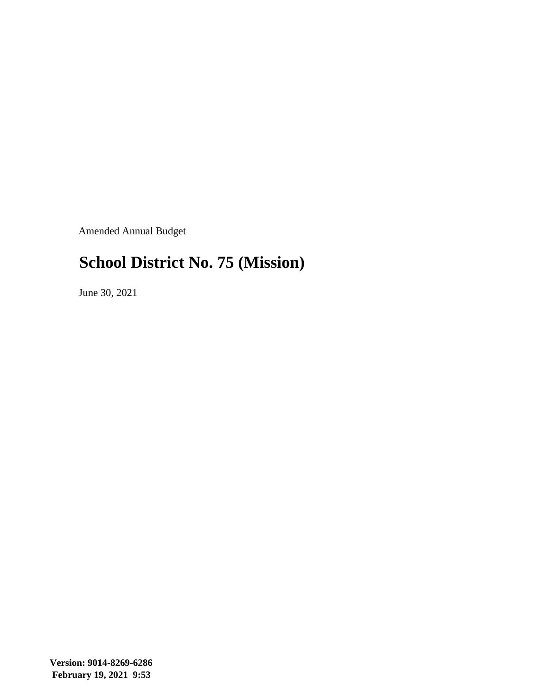Amended Annual Budget

#### **School District No. 75 (Mission)**

June 30, 2021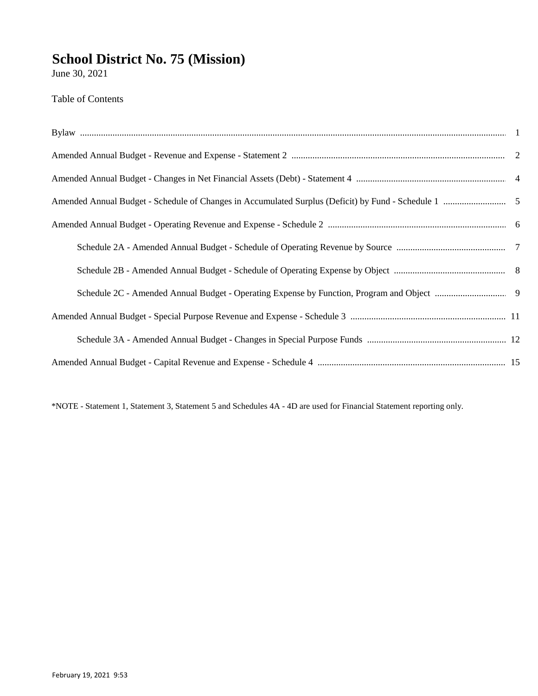June 30, 2021

**Table of Contents** 

\*NOTE - Statement 1, Statement 3, Statement 5 and Schedules 4A - 4D are used for Financial Statement reporting only.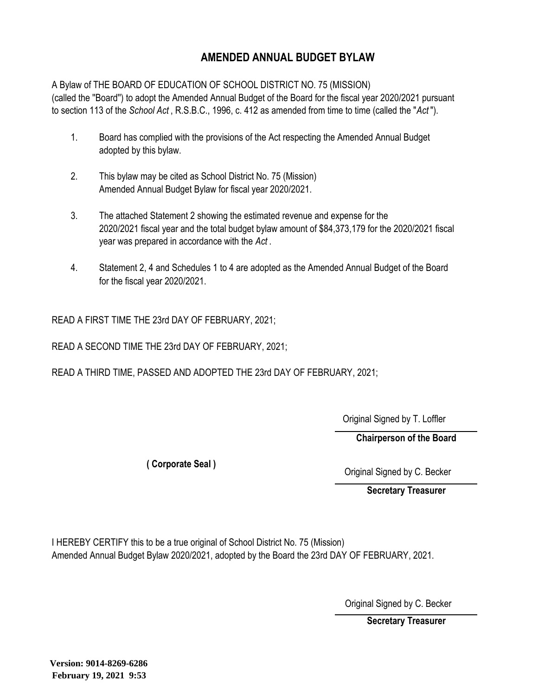#### **AMENDED ANNUAL BUDGET BYLAW**

A Bylaw of THE BOARD OF EDUCATION OF SCHOOL DISTRICT NO. 75 (MISSION) (called the ''Board'') to adopt the Amended Annual Budget of the Board for the fiscal year 2020/2021 pursuant to section 113 of the *School Act* , R.S.B.C., 1996, c. 412 as amended from time to time (called the "*Act* ").

- 1. Board has complied with the provisions of the Act respecting the Amended Annual Budget adopted by this bylaw.
- 2. This bylaw may be cited as School District No. 75 (Mission) Amended Annual Budget Bylaw for fiscal year 2020/2021.
- 3. The attached Statement 2 showing the estimated revenue and expense for the 2020/2021 fiscal year and the total budget bylaw amount of \$84,373,179 for the 2020/2021 fiscal year was prepared in accordance with the *Act* .
- 4. Statement 2, 4 and Schedules 1 to 4 are adopted as the Amended Annual Budget of the Board for the fiscal year 2020/2021.

READ A FIRST TIME THE 23rd DAY OF FEBRUARY, 2021;

READ A SECOND TIME THE 23rd DAY OF FEBRUARY, 2021;

READ A THIRD TIME, PASSED AND ADOPTED THE 23rd DAY OF FEBRUARY, 2021;

Original Signed by T. Loffler

**Chairperson of the Board**

**( Corporate Seal )**

Original Signed by C. Becker

**Secretary Treasurer**

I HEREBY CERTIFY this to be a true original of School District No. 75 (Mission) Amended Annual Budget Bylaw 2020/2021, adopted by the Board the 23rd DAY OF FEBRUARY, 2021.

Original Signed by C. Becker

**Secretary Treasurer**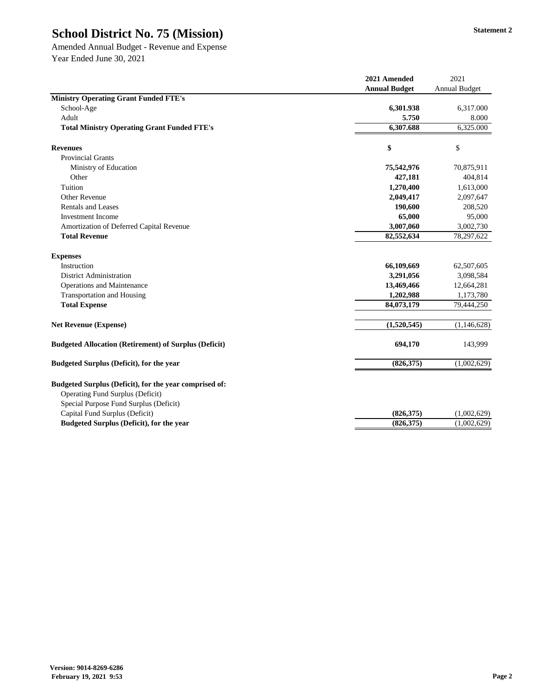Amended Annual Budget - Revenue and Expense Year Ended June 30, 2021

|                                                                                                                                             | 2021 Amended         | 2021                 |
|---------------------------------------------------------------------------------------------------------------------------------------------|----------------------|----------------------|
|                                                                                                                                             | <b>Annual Budget</b> | <b>Annual Budget</b> |
| <b>Ministry Operating Grant Funded FTE's</b>                                                                                                |                      |                      |
| School-Age                                                                                                                                  | 6,301.938            | 6,317.000            |
| Adult                                                                                                                                       | 5.750                | 8.000                |
| <b>Total Ministry Operating Grant Funded FTE's</b>                                                                                          | 6,307.688            | 6,325.000            |
| <b>Revenues</b>                                                                                                                             | \$                   | \$                   |
| <b>Provincial Grants</b>                                                                                                                    |                      |                      |
| Ministry of Education                                                                                                                       | 75,542,976           | 70,875,911           |
| Other                                                                                                                                       | 427,181              | 404,814              |
| Tuition                                                                                                                                     | 1,270,400            | 1,613,000            |
| <b>Other Revenue</b>                                                                                                                        | 2,049,417            | 2,097,647            |
| <b>Rentals and Leases</b>                                                                                                                   | 190,600              | 208,520              |
| <b>Investment Income</b>                                                                                                                    | 65,000               | 95,000               |
| Amortization of Deferred Capital Revenue                                                                                                    | 3,007,060            | 3,002,730            |
| <b>Total Revenue</b>                                                                                                                        | 82,552,634           | 78,297,622           |
| <b>Expenses</b>                                                                                                                             |                      |                      |
| Instruction                                                                                                                                 | 66,109,669           | 62,507,605           |
| <b>District Administration</b>                                                                                                              | 3,291,056            | 3,098,584            |
| <b>Operations and Maintenance</b>                                                                                                           | 13,469,466           | 12,664,281           |
| <b>Transportation and Housing</b>                                                                                                           | 1,202,988            | 1,173,780            |
| <b>Total Expense</b>                                                                                                                        | 84,073,179           | 79,444,250           |
| <b>Net Revenue (Expense)</b>                                                                                                                | (1,520,545)          | (1,146,628)          |
| <b>Budgeted Allocation (Retirement) of Surplus (Deficit)</b>                                                                                | 694,170              | 143,999              |
| <b>Budgeted Surplus (Deficit), for the year</b>                                                                                             | (826,375)            | (1,002,629)          |
| Budgeted Surplus (Deficit), for the year comprised of:<br><b>Operating Fund Surplus (Deficit)</b><br>Special Purpose Fund Surplus (Deficit) |                      |                      |
| Capital Fund Surplus (Deficit)                                                                                                              | (826,375)            | (1,002,629)          |
| <b>Budgeted Surplus (Deficit), for the year</b>                                                                                             | (826,375)            | (1,002,629)          |
|                                                                                                                                             |                      |                      |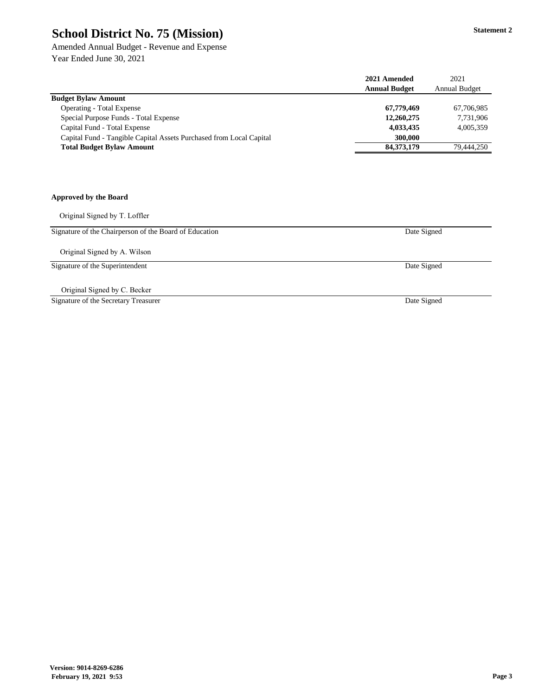Amended Annual Budget - Revenue and Expense Year Ended June 30, 2021

|                                                                     | 2021 Amended         | 2021                 |
|---------------------------------------------------------------------|----------------------|----------------------|
|                                                                     | <b>Annual Budget</b> | <b>Annual Budget</b> |
| <b>Budget Bylaw Amount</b>                                          |                      |                      |
| <b>Operating - Total Expense</b>                                    | 67,779,469           | 67,706,985           |
| Special Purpose Funds - Total Expense                               | 12,260,275           | 7,731,906            |
| Capital Fund - Total Expense                                        | 4,033,435            | 4,005,359            |
| Capital Fund - Tangible Capital Assets Purchased from Local Capital | 300,000              |                      |
| <b>Total Budget Bylaw Amount</b>                                    | 84, 373, 179         | 79,444,250           |
| <b>Approved by the Board</b>                                        |                      |                      |
|                                                                     |                      |                      |
| Original Signed by T. Loffler                                       |                      |                      |
| Signature of the Chairperson of the Board of Education              | Date Signed          |                      |
| Original Signed by A. Wilson                                        |                      |                      |
| Signature of the Superintendent                                     | Date Signed          |                      |

Original Signed by C. Becker

Signature of the Secretary Treasurer

Date Signed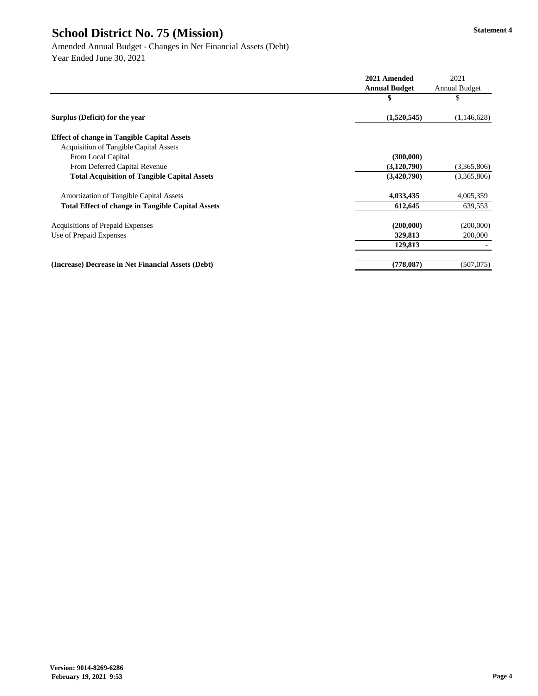**2021 Amended** 2021 **Annual Budget** Annual Budget **\$** \$ **Surplus (Deficit) for the year (1,520,545)** (1,146,628) **Effect of change in Tangible Capital Assets** Acquisition of Tangible Capital Assets From Local Capital **(300,000) (300,000)** From Deferred Capital Revenue **(3,120,790)** (3,365,806) **Total Acquisition of Tangible Capital Assets (3,420,790)** (3,365,806) Amortization of Tangible Capital Assets **4,033,435** 4,005,359 **Total Effect of change in Tangible Capital Assets 612,645** 639,553 Acquisitions of Prepaid Expenses **(200,000)** (200,000) Use of Prepaid Expenses **329,813** 200,000 **129,813** - **(Increase) Decrease in Net Financial Assets (Debt) (778,087)** (507,075)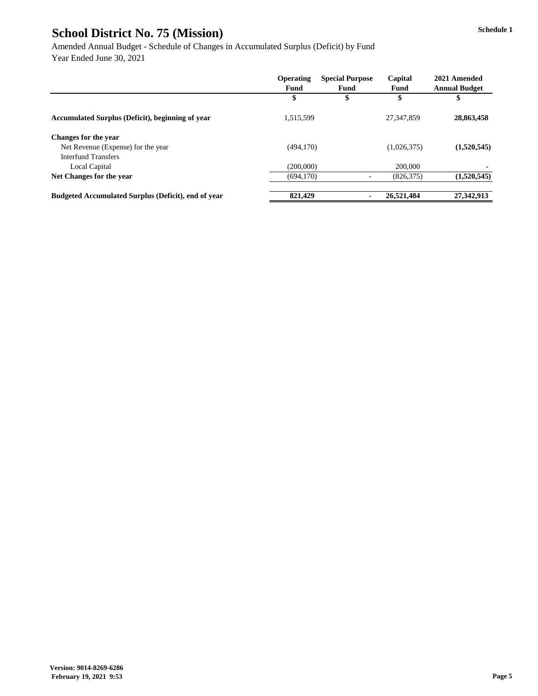Amended Annual Budget - Schedule of Changes in Accumulated Surplus (Deficit) by Fund Year Ended June 30, 2021

|                                                            | <b>Operating</b> | <b>Special Purpose</b> | Capital     | 2021 Amended         |
|------------------------------------------------------------|------------------|------------------------|-------------|----------------------|
|                                                            | <b>Fund</b>      | <b>Fund</b>            | <b>Fund</b> | <b>Annual Budget</b> |
|                                                            | \$               | \$                     |             | \$                   |
| <b>Accumulated Surplus (Deficit), beginning of year</b>    | 1,515,599        |                        | 27,347,859  | 28,863,458           |
| <b>Changes for the year</b>                                |                  |                        |             |                      |
| Net Revenue (Expense) for the year                         | (494, 170)       |                        | (1,026,375) | (1,520,545)          |
| <b>Interfund Transfers</b>                                 |                  |                        |             |                      |
| Local Capital                                              | (200,000)        |                        | 200,000     |                      |
| Net Changes for the year                                   | (694, 170)       |                        | (826, 375)  | (1,520,545)          |
| <b>Budgeted Accumulated Surplus (Deficit), end of year</b> | 821,429          |                        | 26,521,484  | 27,342,913           |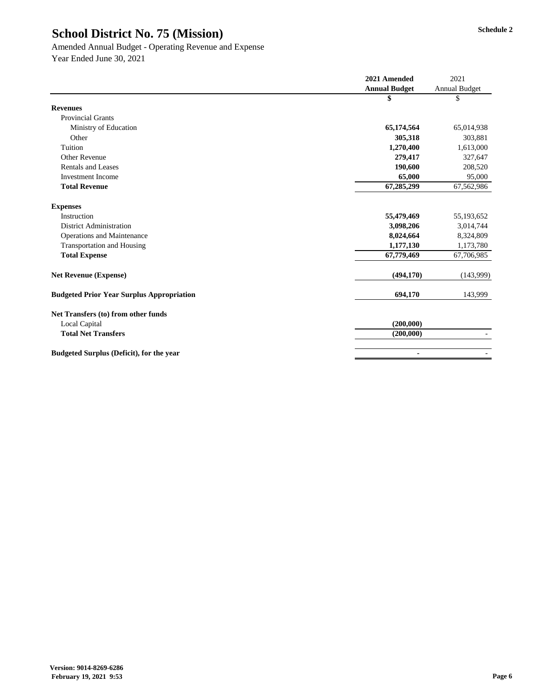#### Amended Annual Budget - Operating Revenue and Expense

|                                                  | 2021 Amended         | 2021          |
|--------------------------------------------------|----------------------|---------------|
|                                                  | <b>Annual Budget</b> | Annual Budget |
|                                                  | \$                   | \$            |
| <b>Revenues</b>                                  |                      |               |
| <b>Provincial Grants</b>                         |                      |               |
| Ministry of Education                            | 65,174,564           | 65,014,938    |
| Other                                            | 305,318              | 303,881       |
| Tuition                                          | 1,270,400            | 1,613,000     |
| <b>Other Revenue</b>                             | 279,417              | 327,647       |
| <b>Rentals and Leases</b>                        | 190,600              | 208,520       |
| <b>Investment Income</b>                         | 65,000               | 95,000        |
| <b>Total Revenue</b>                             | 67,285,299           | 67,562,986    |
| <b>Expenses</b>                                  |                      |               |
| Instruction                                      | 55,479,469           | 55,193,652    |
| <b>District Administration</b>                   | 3,098,206            | 3,014,744     |
| <b>Operations and Maintenance</b>                | 8,024,664            | 8,324,809     |
| <b>Transportation and Housing</b>                | 1,177,130            | 1,173,780     |
| <b>Total Expense</b>                             | 67,779,469           | 67,706,985    |
| <b>Net Revenue (Expense)</b>                     | (494, 170)           | (143,999)     |
| <b>Budgeted Prior Year Surplus Appropriation</b> | 694,170              | 143,999       |
| Net Transfers (to) from other funds              |                      |               |
| <b>Local Capital</b>                             | (200,000)            |               |
| <b>Total Net Transfers</b>                       | (200,000)            |               |
| <b>Budgeted Surplus (Deficit), for the year</b>  | $\blacksquare$       |               |
|                                                  |                      |               |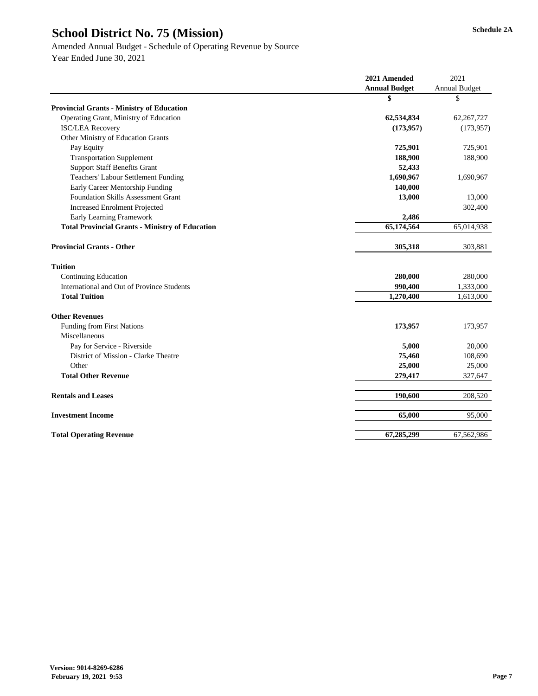|                                                        | 2021 Amended         |                      |
|--------------------------------------------------------|----------------------|----------------------|
|                                                        | <b>Annual Budget</b> | <b>Annual Budget</b> |
|                                                        | \$                   | \$                   |
| <b>Provincial Grants - Ministry of Education</b>       |                      |                      |
| Operating Grant, Ministry of Education                 | 62,534,834           | 62, 267, 727         |
| <b>ISC/LEA Recovery</b>                                | (173, 957)           | (173, 957)           |
| Other Ministry of Education Grants                     |                      |                      |
| Pay Equity                                             | 725,901              | 725,901              |
| <b>Transportation Supplement</b>                       | 188,900              | 188,900              |
| <b>Support Staff Benefits Grant</b>                    | 52,433               |                      |
| <b>Teachers' Labour Settlement Funding</b>             | 1,690,967            | 1,690,967            |
| Early Career Mentorship Funding                        | 140,000              |                      |
| <b>Foundation Skills Assessment Grant</b>              | 13,000               | 13,000               |
| <b>Increased Enrolment Projected</b>                   |                      | 302,400              |
| <b>Early Learning Framework</b>                        | 2,486                |                      |
| <b>Total Provincial Grants - Ministry of Education</b> | 65,174,564           | 65,014,938           |
| <b>Provincial Grants - Other</b>                       | 305,318              | 303,881              |
| <b>Tuition</b>                                         |                      |                      |
| <b>Continuing Education</b>                            | 280,000              | 280,000              |
| <b>International and Out of Province Students</b>      | 990,400              | 1,333,000            |
| <b>Total Tuition</b>                                   | 1,270,400            | 1,613,000            |
| <b>Other Revenues</b>                                  |                      |                      |
| Funding from First Nations                             | 173,957              | 173,957              |
| Miscellaneous                                          |                      |                      |
| Pay for Service - Riverside                            | 5,000                | 20,000               |
| District of Mission - Clarke Theatre                   | 75,460               | 108,690              |
| Other                                                  | 25,000               | 25,000               |
| <b>Total Other Revenue</b>                             | 279,417              | 327,647              |
| <b>Rentals and Leases</b>                              | 190,600              | 208,520              |
| <b>Investment Income</b>                               | 65,000               | 95,000               |
| <b>Total Operating Revenue</b>                         | 67,285,299           | 67,562,986           |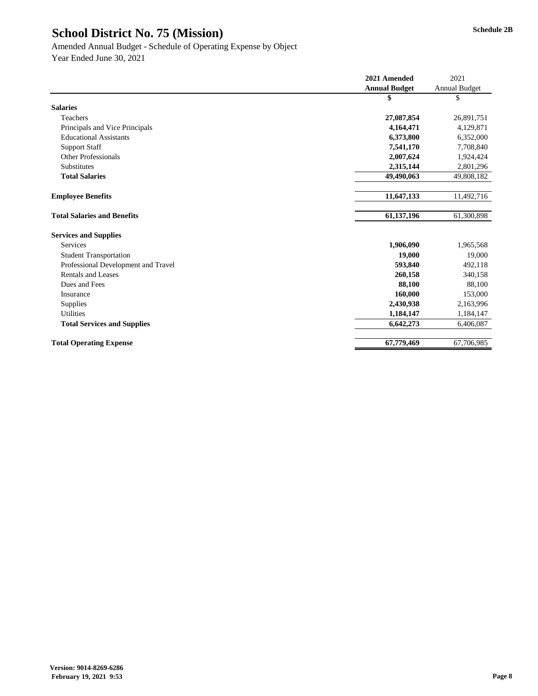|                                     | 2021 Amended         | 2021                 |
|-------------------------------------|----------------------|----------------------|
|                                     | <b>Annual Budget</b> | <b>Annual Budget</b> |
|                                     | \$                   | \$                   |
| <b>Salaries</b>                     |                      |                      |
| Teachers                            | 27,087,854           | 26,891,751           |
| Principals and Vice Principals      | 4,164,471            | 4,129,871            |
| <b>Educational Assistants</b>       | 6,373,800            | 6,352,000            |
| <b>Support Staff</b>                | 7,541,170            | 7,708,840            |
| <b>Other Professionals</b>          | 2,007,624            | 1,924,424            |
| Substitutes                         | 2,315,144            | 2,801,296            |
| <b>Total Salaries</b>               | 49,490,063           | 49,808,182           |
| <b>Employee Benefits</b>            | 11,647,133           | 11,492,716           |
| <b>Total Salaries and Benefits</b>  | 61,137,196           | 61,300,898           |
| <b>Services and Supplies</b>        |                      |                      |
| Services                            | 1,906,090            | 1,965,568            |
| <b>Student Transportation</b>       | 19,000               | 19,000               |
| Professional Development and Travel | 593,840              | 492,118              |
| <b>Rentals and Leases</b>           | 260,158              | 340,158              |
| Dues and Fees                       | 88,100               | 88,100               |
| Insurance                           | 160,000              | 153,000              |
| Supplies                            | 2,430,938            | 2,163,996            |
| <b>Utilities</b>                    | 1,184,147            | 1,184,147            |
| <b>Total Services and Supplies</b>  | 6,642,273            | 6,406,087            |
| <b>Total Operating Expense</b>      | 67,779,469           | 67,706,985           |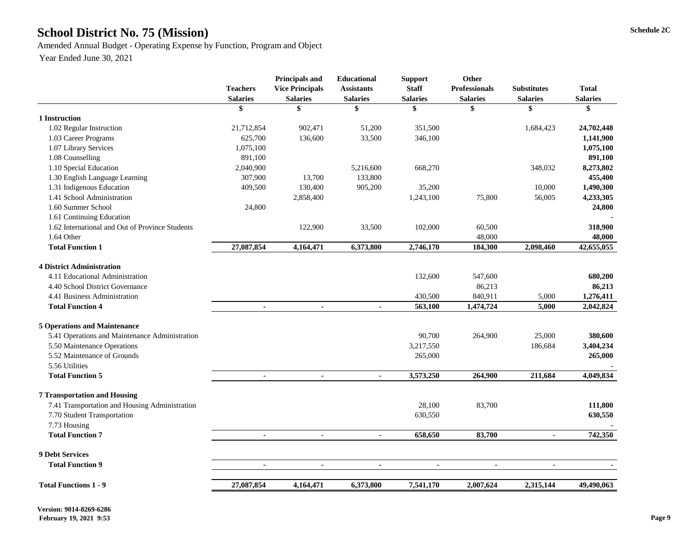### School District No. 75 (Mission) Schedule 2C

Amended Annual Budget - Operating Expense by Function, Program and Object

|                                                 | <b>Teachers</b><br><b>Salaries</b> | <b>Principals and</b><br><b>Vice Principals</b><br><b>Salaries</b> | <b>Educational</b><br><b>Assistants</b><br><b>Salaries</b> | <b>Support</b><br><b>Staff</b><br><b>Salaries</b> | <b>Other</b><br><b>Professionals</b><br><b>Salaries</b> | <b>Substitutes</b><br><b>Salaries</b> | <b>Total</b><br><b>Salaries</b> |
|-------------------------------------------------|------------------------------------|--------------------------------------------------------------------|------------------------------------------------------------|---------------------------------------------------|---------------------------------------------------------|---------------------------------------|---------------------------------|
|                                                 | \$                                 | \$                                                                 | \$                                                         | \$                                                | \$                                                      | \$                                    | \$                              |
| 1 Instruction                                   |                                    |                                                                    |                                                            |                                                   |                                                         |                                       |                                 |
| 1.02 Regular Instruction                        | 21,712,854                         | 902,471                                                            | 51,200                                                     | 351,500                                           |                                                         | 1,684,423                             | 24,702,448                      |
| 1.03 Career Programs                            | 625,700                            | 136,600                                                            | 33,500                                                     | 346,100                                           |                                                         |                                       | 1,141,900                       |
| 1.07 Library Services                           | 1,075,100                          |                                                                    |                                                            |                                                   |                                                         |                                       | 1,075,100                       |
| 1.08 Counselling                                | 891,100                            |                                                                    |                                                            |                                                   |                                                         |                                       | 891,100                         |
| 1.10 Special Education                          | 2,040,900                          |                                                                    | 5,216,600                                                  | 668,270                                           |                                                         | 348,032                               | 8,273,802                       |
| 1.30 English Language Learning                  | 307,900                            | 13,700                                                             | 133,800                                                    |                                                   |                                                         |                                       | 455,400                         |
| 1.31 Indigenous Education                       | 409,500                            | 130,400                                                            | 905,200                                                    | 35,200                                            |                                                         | 10,000                                | 1,490,300                       |
| 1.41 School Administration                      |                                    | 2,858,400                                                          |                                                            | 1,243,100                                         | 75,800                                                  | 56,005                                | 4,233,305                       |
| 1.60 Summer School                              | 24,800                             |                                                                    |                                                            |                                                   |                                                         |                                       | 24,800                          |
| 1.61 Continuing Education                       |                                    |                                                                    |                                                            |                                                   |                                                         |                                       |                                 |
| 1.62 International and Out of Province Students |                                    | 122,900                                                            | 33,500                                                     | 102,000                                           | 60,500                                                  |                                       | 318,900                         |
| 1.64 Other                                      |                                    |                                                                    |                                                            |                                                   | 48,000                                                  |                                       | 48,000                          |
| <b>Total Function 1</b>                         | 27,087,854                         | 4,164,471                                                          | 6,373,800                                                  | 2,746,170                                         | 184,300                                                 | 2,098,460                             | 42,655,055                      |
| <b>4 District Administration</b>                |                                    |                                                                    |                                                            |                                                   |                                                         |                                       |                                 |
| 4.11 Educational Administration                 |                                    |                                                                    |                                                            | 132,600                                           | 547,600                                                 |                                       | 680,200                         |
| 4.40 School District Governance                 |                                    |                                                                    |                                                            |                                                   | 86,213                                                  |                                       | 86,213                          |
| 4.41 Business Administration                    |                                    |                                                                    |                                                            | 430,500                                           | 840,911                                                 | 5,000                                 | 1,276,411                       |
| <b>Total Function 4</b>                         | $\blacksquare$                     | $\blacksquare$                                                     | $\blacksquare$                                             | 563,100                                           | 1,474,724                                               | 5,000                                 | 2,042,824                       |
| <b>5 Operations and Maintenance</b>             |                                    |                                                                    |                                                            |                                                   |                                                         |                                       |                                 |
| 5.41 Operations and Maintenance Administration  |                                    |                                                                    |                                                            | 90,700                                            | 264,900                                                 | 25,000                                | 380,600                         |
| 5.50 Maintenance Operations                     |                                    |                                                                    |                                                            | 3,217,550                                         |                                                         | 186,684                               | 3,404,234                       |
| 5.52 Maintenance of Grounds                     |                                    |                                                                    |                                                            | 265,000                                           |                                                         |                                       | 265,000                         |
| 5.56 Utilities                                  |                                    |                                                                    |                                                            |                                                   |                                                         |                                       |                                 |
| <b>Total Function 5</b>                         | $\blacksquare$                     |                                                                    |                                                            | 3,573,250                                         | 264,900                                                 | 211,684                               | 4,049,834                       |
| <b>7 Transportation and Housing</b>             |                                    |                                                                    |                                                            |                                                   |                                                         |                                       |                                 |
| 7.41 Transportation and Housing Administration  |                                    |                                                                    |                                                            | 28,100                                            | 83,700                                                  |                                       | 111,800                         |
| 7.70 Student Transportation                     |                                    |                                                                    |                                                            | 630,550                                           |                                                         |                                       | 630,550                         |
| 7.73 Housing                                    |                                    |                                                                    |                                                            |                                                   |                                                         |                                       |                                 |
| <b>Total Function 7</b>                         | $\blacksquare$                     | $\blacksquare$                                                     | $\blacksquare$                                             | 658,650                                           | 83,700                                                  | $\blacksquare$                        | 742,350                         |
| <b>9 Debt Services</b>                          |                                    |                                                                    |                                                            |                                                   |                                                         |                                       |                                 |
| <b>Total Function 9</b>                         |                                    | $\blacksquare$                                                     |                                                            |                                                   |                                                         | $\blacksquare$                        |                                 |
| <b>Total Functions 1 - 9</b>                    | 27,087,854                         | 4,164,471                                                          | 6,373,800                                                  | 7,541,170                                         | 2,007,624                                               | 2,315,144                             | 49,490,063                      |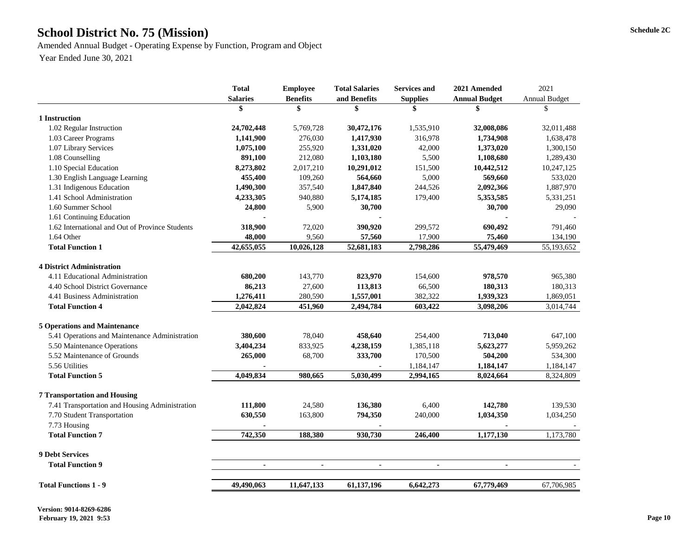### School District No. 75 (Mission) Schedule 2C

Amended Annual Budget - Operating Expense by Function, Program and Object Year Ended June 30, 2021

|                                                 | <b>Total</b>    | <b>Employee</b> | <b>Total Salaries</b> | <b>Services and</b> | 2021 Amended         | 2021                 |
|-------------------------------------------------|-----------------|-----------------|-----------------------|---------------------|----------------------|----------------------|
|                                                 | <b>Salaries</b> | <b>Benefits</b> | and Benefits          | <b>Supplies</b>     | <b>Annual Budget</b> | <b>Annual Budget</b> |
|                                                 |                 |                 |                       |                     |                      | \$                   |
| 1 Instruction                                   |                 |                 |                       |                     |                      |                      |
| 1.02 Regular Instruction                        | 24,702,448      | 5,769,728       | 30,472,176            | 1,535,910           | 32,008,086           | 32,011,488           |
| 1.03 Career Programs                            | 1,141,900       | 276,030         | 1,417,930             | 316,978             | 1,734,908            | 1,638,478            |
| 1.07 Library Services                           | 1,075,100       | 255,920         | 1,331,020             | 42,000              | 1,373,020            | 1,300,150            |
| 1.08 Counselling                                | 891,100         | 212,080         | 1,103,180             | 5,500               | 1,108,680            | 1,289,430            |
| 1.10 Special Education                          | 8,273,802       | 2,017,210       | 10,291,012            | 151,500             | 10,442,512           | 10,247,125           |
| 1.30 English Language Learning                  | 455,400         | 109,260         | 564,660               | 5,000               | 569,660              | 533,020              |
| 1.31 Indigenous Education                       | 1,490,300       | 357,540         | 1,847,840             | 244,526             | 2,092,366            | 1,887,970            |
| 1.41 School Administration                      | 4,233,305       | 940,880         | 5,174,185             | 179,400             | 5,353,585            | 5,331,251            |
| 1.60 Summer School                              | 24,800          | 5,900           | 30,700                |                     | 30,700               | 29,090               |
| 1.61 Continuing Education                       |                 |                 |                       |                     |                      |                      |
| 1.62 International and Out of Province Students | 318,900         | 72,020          | 390,920               | 299,572             | 690,492              | 791,460              |
| 1.64 Other                                      | 48,000          | 9,560           | 57,560                | 17,900              | 75,460               | 134,190              |
| <b>Total Function 1</b>                         | 42,655,055      | 10,026,128      | 52,681,183            | 2,798,286           | 55,479,469           | 55,193,652           |
|                                                 |                 |                 |                       |                     |                      |                      |
| <b>4 District Administration</b>                |                 |                 |                       |                     |                      |                      |
| 4.11 Educational Administration                 | 680,200         | 143,770         | 823,970               | 154,600             | 978,570              | 965,380              |
| 4.40 School District Governance                 | 86,213          | 27,600          | 113,813               | 66,500              | 180,313              | 180,313              |
| 4.41 Business Administration                    | 1,276,411       | 280,590         | 1,557,001             | 382,322             | 1,939,323            | 1,869,051            |
| <b>Total Function 4</b>                         | 2,042,824       | 451,960         | 2,494,784             | 603,422             | 3,098,206            | 3,014,744            |
|                                                 |                 |                 |                       |                     |                      |                      |
| <b>5 Operations and Maintenance</b>             |                 |                 |                       |                     |                      |                      |
| 5.41 Operations and Maintenance Administration  | 380,600         | 78,040          | 458,640               | 254,400             | 713,040              | 647,100              |
| 5.50 Maintenance Operations                     | 3,404,234       | 833,925         | 4,238,159             | 1,385,118           | 5,623,277            | 5,959,262            |
| 5.52 Maintenance of Grounds                     | 265,000         | 68,700          | 333,700               | 170,500             | 504,200              | 534,300              |
| 5.56 Utilities                                  |                 |                 |                       | 1,184,147           | 1,184,147            | 1,184,147            |
| <b>Total Function 5</b>                         | 4,049,834       | 980,665         | 5,030,499             | 2,994,165           | 8,024,664            | 8,324,809            |
| <b>7 Transportation and Housing</b>             |                 |                 |                       |                     |                      |                      |
|                                                 |                 |                 |                       |                     |                      |                      |
| 7.41 Transportation and Housing Administration  | 111,800         | 24,580          | 136,380               | 6,400               | 142,780              | 139,530              |
| 7.70 Student Transportation                     | 630,550         | 163,800         | 794,350               | 240,000             | 1,034,350            | 1,034,250            |
| 7.73 Housing                                    |                 |                 |                       |                     |                      |                      |
| <b>Total Function 7</b>                         | 742,350         | 188,380         | 930,730               | 246,400             | 1,177,130            | 1,173,780            |
| <b>9 Debt Services</b>                          |                 |                 |                       |                     |                      |                      |
| <b>Total Function 9</b>                         | $\blacksquare$  | $\blacksquare$  | $\blacksquare$        | $\blacksquare$      | $\blacksquare$       |                      |
|                                                 |                 |                 |                       |                     |                      |                      |
| <b>Total Functions 1 - 9</b>                    | 49,490,063      | 11,647,133      | 61,137,196            | 6,642,273           | 67,779,469           | 67,706,985           |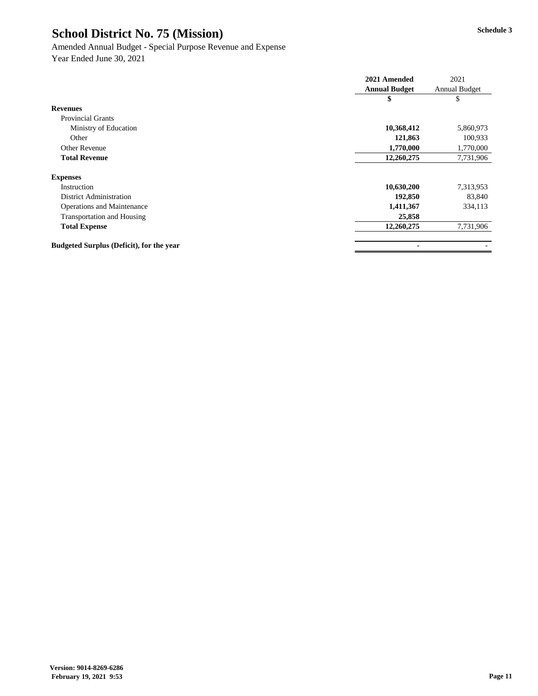#### Amended Annual Budget - Special Purpose Revenue and Expense

|                                                 | 2021 Amended         | 2021                 |
|-------------------------------------------------|----------------------|----------------------|
|                                                 | <b>Annual Budget</b> | <b>Annual Budget</b> |
|                                                 | \$                   | \$                   |
| <b>Revenues</b>                                 |                      |                      |
| <b>Provincial Grants</b>                        |                      |                      |
| Ministry of Education                           | 10,368,412           | 5,860,973            |
| Other                                           | 121,863              | 100,933              |
| <b>Other Revenue</b>                            | 1,770,000            | 1,770,000            |
| <b>Total Revenue</b>                            | 12,260,275           | 7,731,906            |
| <b>Expenses</b>                                 |                      |                      |
| Instruction                                     | 10,630,200           | 7,313,953            |
| <b>District Administration</b>                  | 192,850              | 83,840               |
| <b>Operations and Maintenance</b>               | 1,411,367            | 334,113              |
| <b>Transportation and Housing</b>               | 25,858               |                      |
| <b>Total Expense</b>                            | 12,260,275           | 7,731,906            |
| <b>Budgeted Surplus (Deficit), for the year</b> | $\blacksquare$       |                      |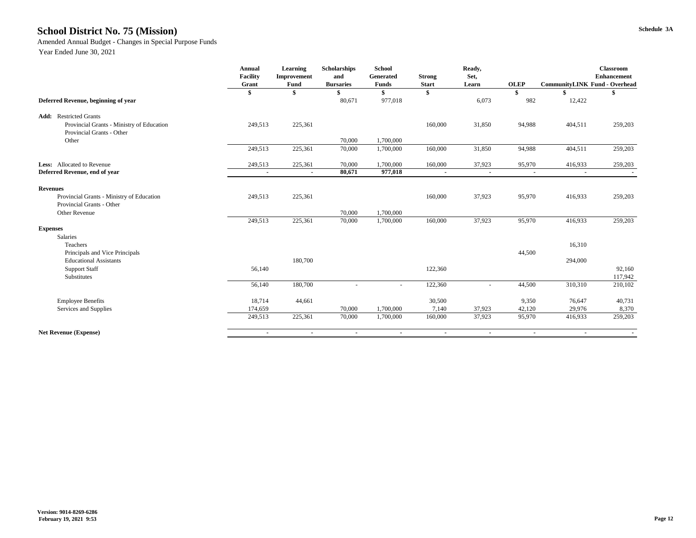#### **Schedule 3A School District No. 75 (Mission)**

Amended Annual Budget - Changes in Special Purpose Funds

|                                           | <b>Annual</b><br><b>Facility</b><br>Grant | <b>Learning</b><br>Improvement<br><b>Fund</b> | Scholarships<br>and<br><b>Bursaries</b> | <b>School</b><br>Generated<br><b>Funds</b> | <b>Strong</b><br><b>Start</b> | Ready,<br>Set,<br>Learn  | <b>OLEP</b> | <b>CommunityLINK Fund - Overhead</b> | <b>Classroom</b><br><b>Enhancement</b> |
|-------------------------------------------|-------------------------------------------|-----------------------------------------------|-----------------------------------------|--------------------------------------------|-------------------------------|--------------------------|-------------|--------------------------------------|----------------------------------------|
|                                           | \$                                        | \$                                            |                                         |                                            | \$                            |                          | \$          |                                      |                                        |
| Deferred Revenue, beginning of year       |                                           |                                               | 80,671                                  | 977,018                                    |                               | 6,073                    | 982         | 12,422                               |                                        |
| <b>Add:</b> Restricted Grants             |                                           |                                               |                                         |                                            |                               |                          |             |                                      |                                        |
| Provincial Grants - Ministry of Education | 249,513                                   | 225,361                                       |                                         |                                            | 160,000                       | 31,850                   | 94,988      | 404,511                              | 259,203                                |
| Provincial Grants - Other                 |                                           |                                               |                                         |                                            |                               |                          |             |                                      |                                        |
| Other                                     |                                           |                                               | 70,000                                  | 1,700,000                                  |                               |                          |             |                                      |                                        |
|                                           | 249,513                                   | 225,361                                       | 70,000                                  | 1,700,000                                  | 160,000                       | 31,850                   | 94,988      | 404,511                              | 259,203                                |
| Less: Allocated to Revenue                | 249,513                                   | 225,361                                       | 70,000                                  | 1,700,000                                  | 160,000                       | 37,923                   | 95,970      | 416,933                              | 259,203                                |
| Deferred Revenue, end of year             | $\sim$                                    | $\blacksquare$                                | 80,671                                  | 977,018                                    | $\sim$                        | $\sim$                   | $\sim$      | $\sim$                               | $\blacksquare$                         |
| <b>Revenues</b>                           |                                           |                                               |                                         |                                            |                               |                          |             |                                      |                                        |
| Provincial Grants - Ministry of Education | 249,513                                   | 225,361                                       |                                         |                                            | 160,000                       | 37,923                   | 95,970      | 416,933                              | 259,203                                |
| <b>Provincial Grants - Other</b>          |                                           |                                               |                                         |                                            |                               |                          |             |                                      |                                        |
| Other Revenue                             |                                           |                                               | 70,000                                  | 1,700,000                                  |                               |                          |             |                                      |                                        |
|                                           | 249,513                                   | 225,361                                       | 70,000                                  | 1,700,000                                  | 160,000                       | 37,923                   | 95,970      | 416,933                              | 259,203                                |
| <b>Expenses</b>                           |                                           |                                               |                                         |                                            |                               |                          |             |                                      |                                        |
| Salaries                                  |                                           |                                               |                                         |                                            |                               |                          |             |                                      |                                        |
| Teachers                                  |                                           |                                               |                                         |                                            |                               |                          |             | 16,310                               |                                        |
| Principals and Vice Principals            |                                           |                                               |                                         |                                            |                               |                          | 44,500      |                                      |                                        |
| <b>Educational Assistants</b>             |                                           | 180,700                                       |                                         |                                            |                               |                          |             | 294,000                              |                                        |
| <b>Support Staff</b>                      | 56,140                                    |                                               |                                         |                                            | 122,360                       |                          |             |                                      | 92,160                                 |
| Substitutes                               |                                           |                                               |                                         |                                            |                               |                          |             |                                      | 117,942                                |
|                                           | 56,140                                    | 180,700                                       |                                         |                                            | 122,360                       | $\overline{\phantom{0}}$ | 44,500      | 310,310                              | 210,102                                |
| <b>Employee Benefits</b>                  | 18,714                                    | 44,661                                        |                                         |                                            | 30,500                        |                          | 9,350       | 76,647                               | 40,731                                 |
| Services and Supplies                     | 174,659                                   |                                               | 70,000                                  | 1,700,000                                  | 7,140                         | 37,923                   | 42,120      | 29,976                               | 8,370                                  |
|                                           | 249,513                                   | 225,361                                       | 70,000                                  | 1,700,000                                  | 160,000                       | 37,923                   | 95,970      | 416,933                              | 259,203                                |
| <b>Net Revenue (Expense)</b>              | $\sim$                                    | $\sim$                                        | $\sim$                                  | $\sim$                                     | $\sim$                        | $\sim$                   | $\sim$      | $\sim$                               | $\sim$                                 |
|                                           |                                           |                                               |                                         |                                            |                               |                          |             |                                      |                                        |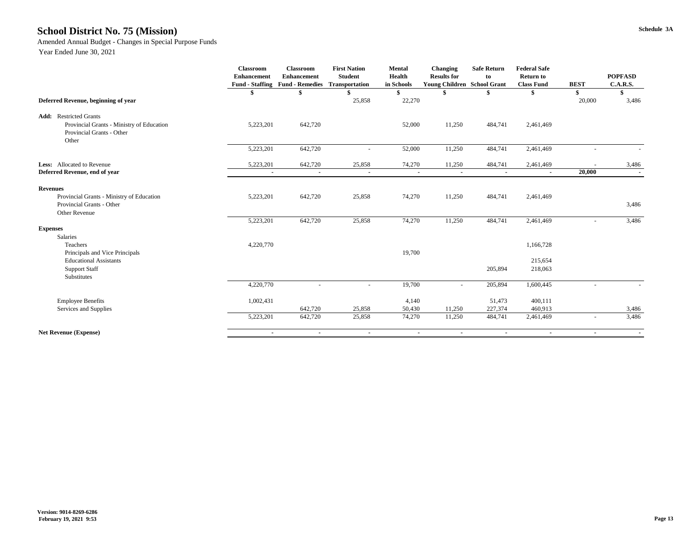#### **Schedule 3A School District No. 75 (Mission)**

Amended Annual Budget - Changes in Special Purpose Funds

|                                                                                                | <b>Classroom</b><br><b>Enhancement</b><br><b>Fund - Staffing</b> | <b>Classroom</b><br><b>Enhancement</b><br><b>Fund - Remedies</b> | <b>First Nation</b><br><b>Student</b><br><b>Transportation</b> | <b>Mental</b><br><b>Health</b><br>in Schools | <b>Changing</b><br><b>Results for</b><br><b>Young Children School Grant</b> | <b>Safe Return</b><br>to | <b>Federal Safe</b><br><b>Return to</b><br><b>Class Fund</b> | <b>BEST</b>    | <b>POPFASD</b><br><b>C.A.R.S.</b> |
|------------------------------------------------------------------------------------------------|------------------------------------------------------------------|------------------------------------------------------------------|----------------------------------------------------------------|----------------------------------------------|-----------------------------------------------------------------------------|--------------------------|--------------------------------------------------------------|----------------|-----------------------------------|
|                                                                                                |                                                                  |                                                                  |                                                                | \$                                           |                                                                             |                          |                                                              | \$             |                                   |
| Deferred Revenue, beginning of year                                                            |                                                                  |                                                                  | 25,858                                                         | 22,270                                       |                                                                             |                          |                                                              | 20,000         | 3,486                             |
| <b>Add:</b> Restricted Grants                                                                  |                                                                  |                                                                  |                                                                |                                              |                                                                             |                          |                                                              |                |                                   |
| Provincial Grants - Ministry of Education<br><b>Provincial Grants - Other</b><br>Other         | 5,223,201                                                        | 642,720                                                          |                                                                | 52,000                                       | 11,250                                                                      | 484,741                  | 2,461,469                                                    |                |                                   |
|                                                                                                | 5,223,201                                                        | 642,720                                                          | $\overline{\phantom{0}}$                                       | 52,000                                       | 11,250                                                                      | 484,741                  | 2,461,469                                                    |                |                                   |
| <b>Less:</b> Allocated to Revenue                                                              | 5,223,201                                                        | 642,720                                                          | 25,858                                                         | 74,270                                       | 11,250                                                                      | 484,741                  | 2,461,469                                                    |                | 3,486                             |
| Deferred Revenue, end of year                                                                  | $\blacksquare$                                                   | $\blacksquare$                                                   | $\sim$                                                         | $\sim$                                       | $\sim$                                                                      | $\blacksquare$           | $\blacksquare$                                               | 20,000         |                                   |
| <b>Revenues</b>                                                                                |                                                                  |                                                                  |                                                                |                                              |                                                                             |                          |                                                              |                |                                   |
| Provincial Grants - Ministry of Education<br>Provincial Grants - Other<br><b>Other Revenue</b> | 5,223,201                                                        | 642,720                                                          | 25,858                                                         | 74,270                                       | 11,250                                                                      | 484,741                  | 2,461,469                                                    |                | 3,486                             |
|                                                                                                | 5,223,201                                                        | 642,720                                                          | 25,858                                                         | 74,270                                       | 11,250                                                                      | 484,741                  | 2,461,469                                                    |                | 3,486                             |
| <b>Expenses</b><br>Salaries                                                                    |                                                                  |                                                                  |                                                                |                                              |                                                                             |                          |                                                              |                |                                   |
| Teachers<br>Principals and Vice Principals                                                     | 4,220,770                                                        |                                                                  |                                                                | 19,700                                       |                                                                             |                          | 1,166,728                                                    |                |                                   |
| <b>Educational Assistants</b>                                                                  |                                                                  |                                                                  |                                                                |                                              |                                                                             |                          | 215,654                                                      |                |                                   |
| <b>Support Staff</b><br>Substitutes                                                            |                                                                  |                                                                  |                                                                |                                              |                                                                             | 205,894                  | 218,063                                                      |                |                                   |
|                                                                                                | 4,220,770                                                        |                                                                  | $\overline{\phantom{a}}$                                       | 19,700                                       | $\overline{\phantom{a}}$                                                    | 205,894                  | 1,600,445                                                    |                |                                   |
| <b>Employee Benefits</b>                                                                       | 1,002,431                                                        |                                                                  |                                                                | 4,140                                        |                                                                             | 51,473                   | 400,111                                                      |                |                                   |
| Services and Supplies                                                                          | 5,223,201                                                        | 642,720<br>642,720                                               | 25,858<br>25,858                                               | 50,430<br>74,270                             | 11,250<br>11,250                                                            | 227,374<br>484,741       | 460,913<br>2,461,469                                         |                | 3,486<br>3,486                    |
| <b>Net Revenue (Expense)</b>                                                                   | $\sim$                                                           | $\sim$                                                           | $\sim$                                                         | $\sim$                                       | $\sim$                                                                      | $\sim$                   | $\sim$                                                       | $\blacksquare$ | $\sim$                            |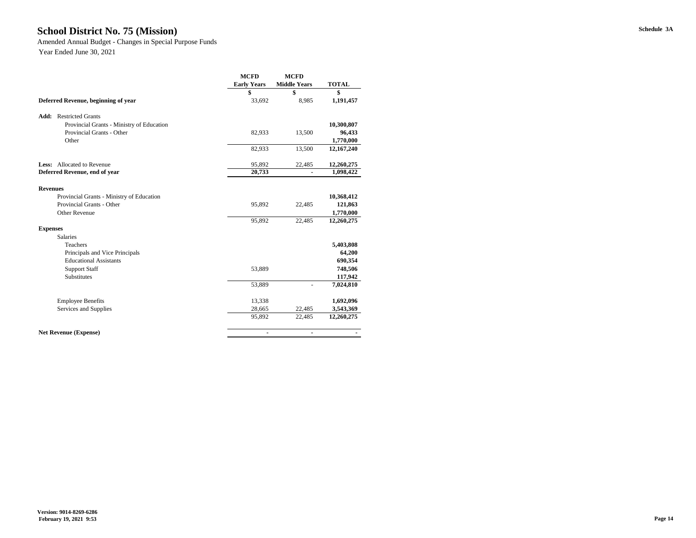#### **Schedule 3A School District No. 75 (Mission)**

Amended Annual Budget - Changes in Special Purpose Funds

|                                           | <b>MCFD</b>        | <b>MCFD</b>         |              |
|-------------------------------------------|--------------------|---------------------|--------------|
|                                           | <b>Early Years</b> | <b>Middle Years</b> | <b>TOTAL</b> |
|                                           | \$                 | \$                  | \$           |
| Deferred Revenue, beginning of year       | 33,692             | 8,985               | 1,191,457    |
| <b>Add:</b> Restricted Grants             |                    |                     |              |
| Provincial Grants - Ministry of Education |                    |                     | 10,300,807   |
| Provincial Grants - Other                 | 82,933             | 13,500              | 96,433       |
| Other                                     |                    |                     | 1,770,000    |
|                                           | 82,933             | 13,500              | 12,167,240   |
| <b>Less:</b> Allocated to Revenue         | 95,892             | 22,485              | 12,260,275   |
| Deferred Revenue, end of year             | 20,733             |                     | 1,098,422    |
| <b>Revenues</b>                           |                    |                     |              |
| Provincial Grants - Ministry of Education |                    |                     | 10,368,412   |
| Provincial Grants - Other                 | 95,892             | 22,485              | 121,863      |
| <b>Other Revenue</b>                      |                    |                     | 1,770,000    |
|                                           | 95,892             | 22,485              | 12,260,275   |
| <b>Expenses</b>                           |                    |                     |              |
| <b>Salaries</b>                           |                    |                     |              |
| Teachers                                  |                    |                     | 5,403,808    |
| Principals and Vice Principals            |                    |                     | 64,200       |
| <b>Educational Assistants</b>             |                    |                     | 690,354      |
| <b>Support Staff</b>                      | 53,889             |                     | 748,506      |
| Substitutes                               |                    |                     | 117,942      |
|                                           | 53,889             |                     | 7,024,810    |
| <b>Employee Benefits</b>                  | 13,338             |                     | 1,692,096    |
| Services and Supplies                     | 28,665             | 22,485              | 3,543,369    |
|                                           | 95,892             | 22,485              | 12,260,275   |
| <b>Net Revenue (Expense)</b>              | $\blacksquare$     | $\blacksquare$      |              |